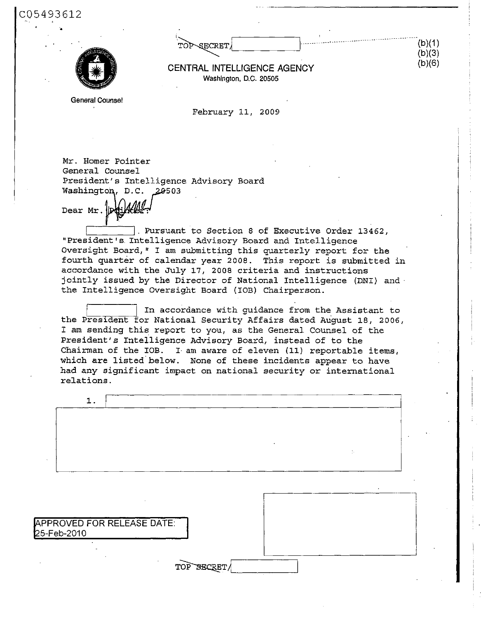| SECRET/<br>$T\cap L$ |  |
|----------------------|--|
|                      |  |



CQ5493612

CENTRAL INTELLIGENCE AGENCY Washington, D.C. 20505

(b)(1)  $(b)(3)$ (b)(6)

General Counsel

February 11, 2009

Mr. Homer Pointer General Counsel President's Intelligence Advisory Board Washington, D.C. 20503

Dear Mr.

. Pursuant to Section 8 of Executive Order 13462, "President's. Intelligence Advisory Board and Intelligence Oversight Board," I am submitting this quarterly report for the fourth quarter of calendar year 2008. This report is submitted in accordance with the July 17, 2008 criteria and instructions jointly issued by the Director of National Intelligence (DNI) and the Intelligence Oversight Board (IOB) Chairperson.

In accordance with guidance from the Assistant to the President for National Security Affairs dated August 18, 2006, I am sending this report to you, as the General Counsel of the President's Intelligence Advisory Board, instead of to the Chairman of the IOB. I- am aware of eleven (11) reportable items, which are listed below. None of these incidents appear to have had any significant impact on national security or international relations.

| ÷. |
|----|
|    |
|    |
|    |
|    |
|    |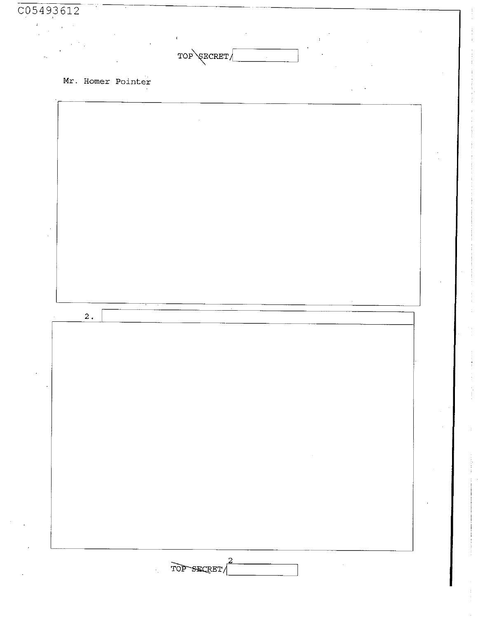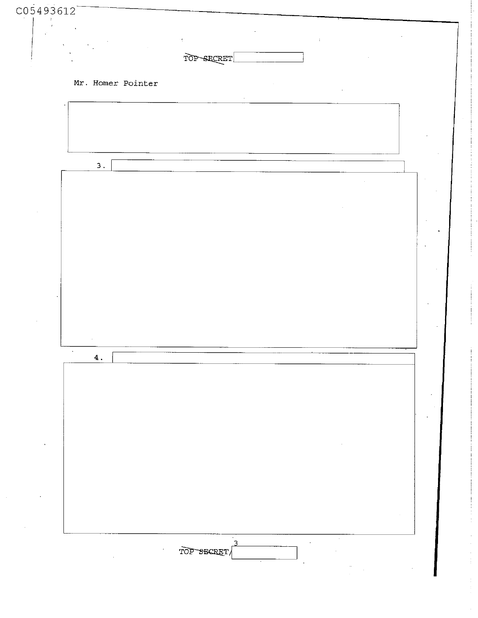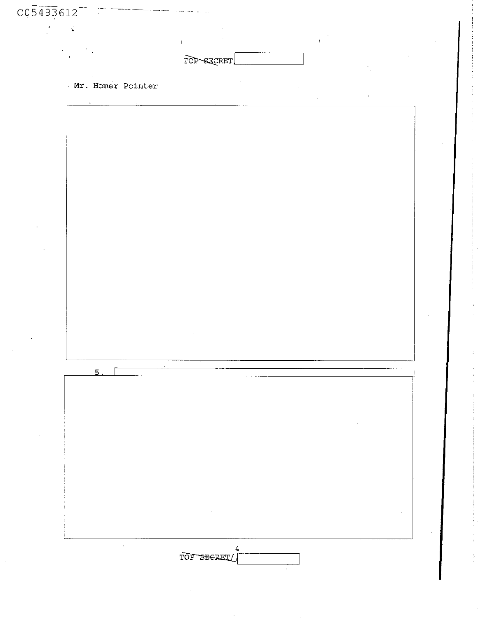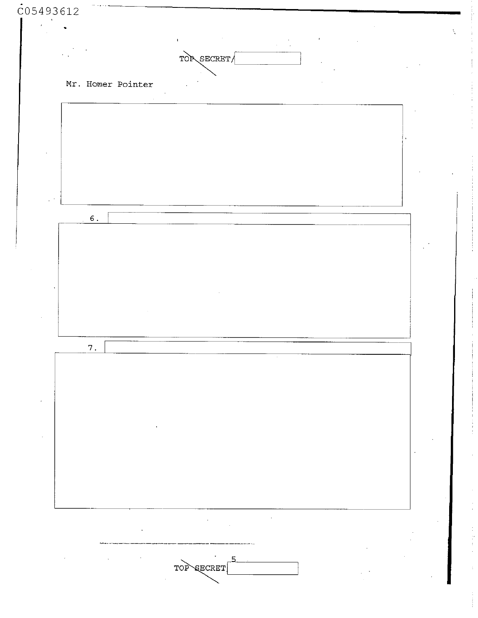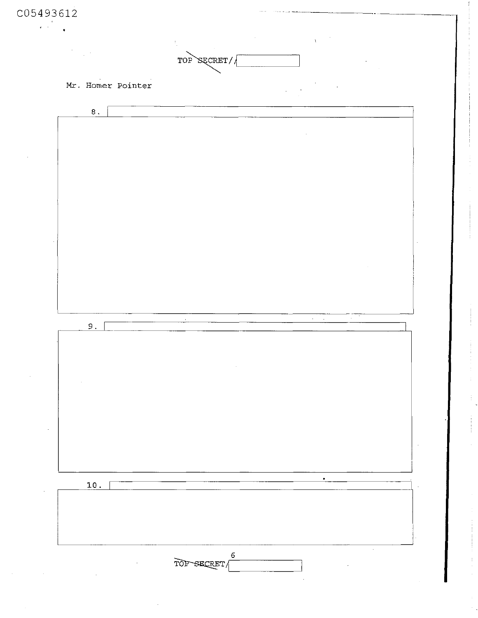